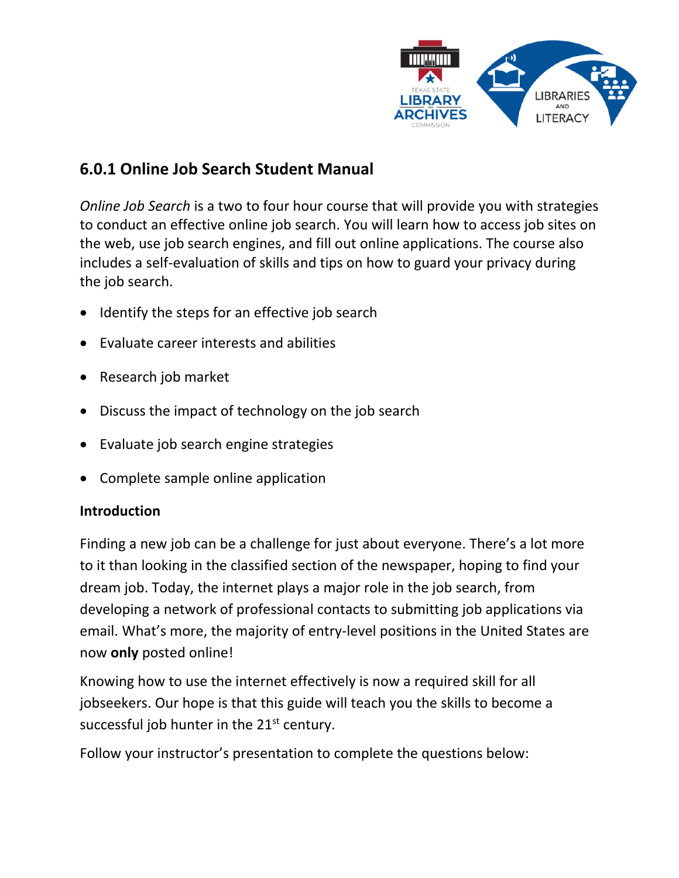

# **6.0.1 Online Job Search Student Manual**

*Online Job Search* is a two to four hour course that will provide you with strategies to conduct an effective online job search. You will learn how to access job sites on the web, use job search engines, and fill out online applications. The course also includes a self-evaluation of skills and tips on how to guard your privacy during the job search.

- Identify the steps for an effective job search
- Evaluate career interests and abilities
- Research job market
- Discuss the impact of technology on the job search
- Evaluate job search engine strategies
- Complete sample online application

## **Introduction**

Finding a new job can be a challenge for just about everyone. There's a lot more to it than looking in the classified section of the newspaper, hoping to find your dream job. Today, the internet plays a major role in the job search, from developing a network of professional contacts to submitting job applications via email. What's more, the majority of entry-level positions in the United States are now **only** posted online!

Knowing how to use the internet effectively is now a required skill for all jobseekers. Our hope is that this guide will teach you the skills to become a successful job hunter in the 21<sup>st</sup> century.

Follow your instructor's presentation to complete the questions below: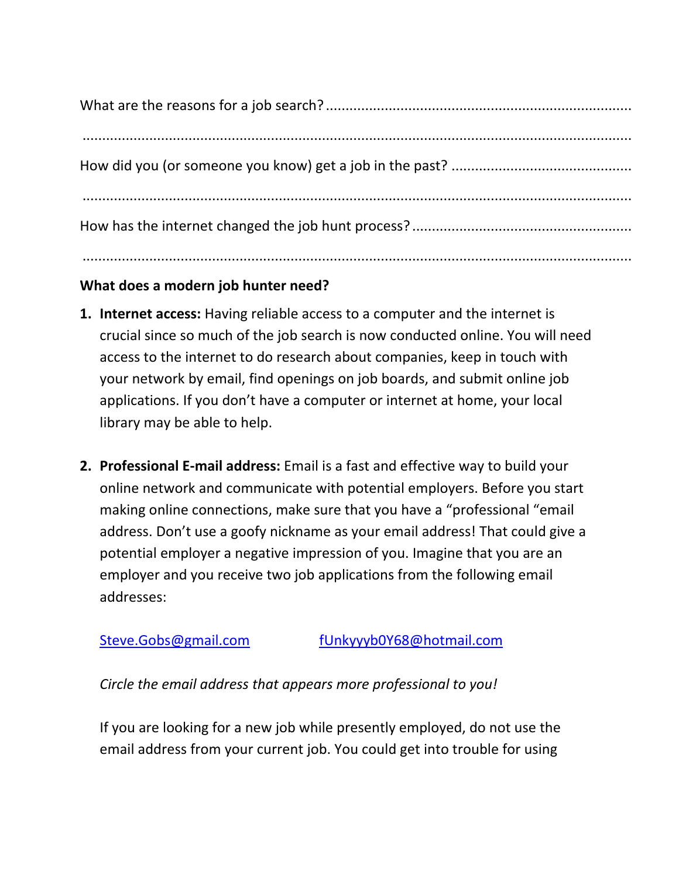## **What does a modern job hunter need?**

- **1. Internet access:** Having reliable access to a computer and the internet is crucial since so much of the job search is now conducted online. You will need access to the internet to do research about companies, keep in touch with your network by email, find openings on job boards, and submit online job applications. If you don't have a computer or internet at home, your local library may be able to help.
- **2. Professional E-mail address:** Email is a fast and effective way to build your online network and communicate with potential employers. Before you start making online connections, make sure that you have a "professional "email address. Don't use a goofy nickname as your email address! That could give a potential employer a negative impression of you. Imagine that you are an employer and you receive two job applications from the following email addresses:

## [Steve.Gobs@gmail.com](mailto:Steve.Gobs@gmail.com) [fUnkyyyb0Y68@hotmail.com](mailto:fUnkyyyb0Y68@hotmail.com)

*Circle the email address that appears more professional to you!*

If you are looking for a new job while presently employed, do not use the email address from your current job. You could get into trouble for using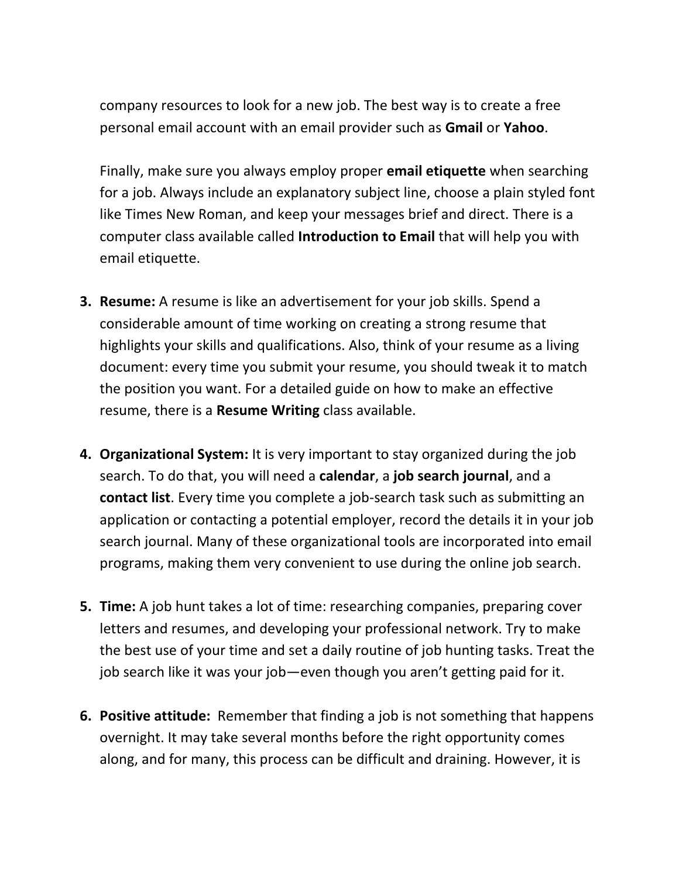company resources to look for a new job. The best way is to create a free personal email account with an email provider such as **Gmail** or **Yahoo**.

Finally, make sure you always employ proper **email etiquette** when searching for a job. Always include an explanatory subject line, choose a plain styled font like Times New Roman, and keep your messages brief and direct. There is a computer class available called **Introduction to Email** that will help you with email etiquette.

- **3. Resume:** A resume is like an advertisement for your job skills. Spend a considerable amount of time working on creating a strong resume that highlights your skills and qualifications. Also, think of your resume as a living document: every time you submit your resume, you should tweak it to match the position you want. For a detailed guide on how to make an effective resume, there is a **Resume Writing** class available.
- **4. Organizational System:** It is very important to stay organized during the job search. To do that, you will need a **calendar**, a **job search journal**, and a **contact list**. Every time you complete a job-search task such as submitting an application or contacting a potential employer, record the details it in your job search journal. Many of these organizational tools are incorporated into email programs, making them very convenient to use during the online job search.
- **5. Time:** A job hunt takes a lot of time: researching companies, preparing cover letters and resumes, and developing your professional network. Try to make the best use of your time and set a daily routine of job hunting tasks. Treat the job search like it was your job—even though you aren't getting paid for it.
- **6. Positive attitude:** Remember that finding a job is not something that happens overnight. It may take several months before the right opportunity comes along, and for many, this process can be difficult and draining. However, it is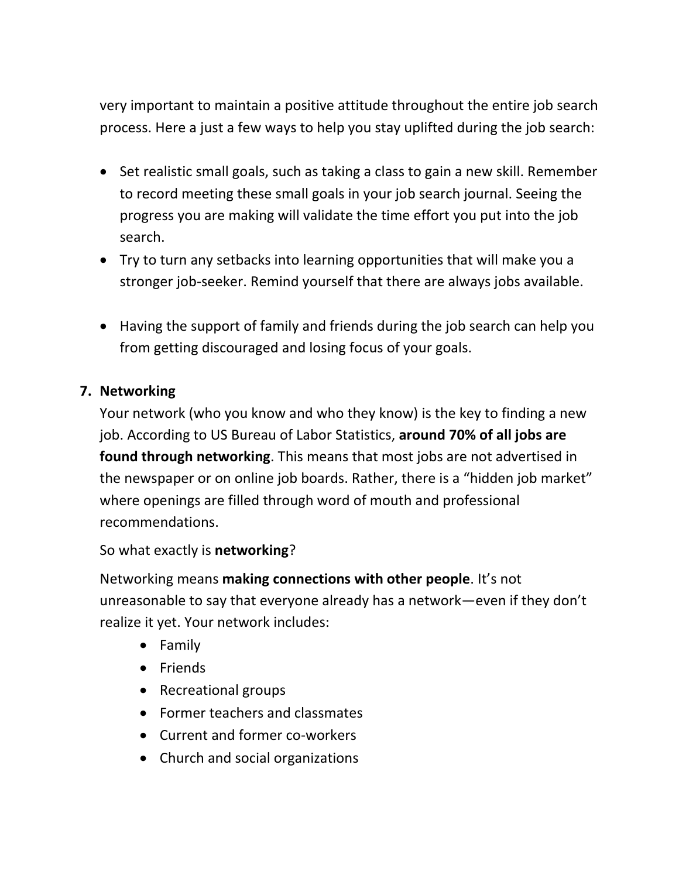very important to maintain a positive attitude throughout the entire job search process. Here a just a few ways to help you stay uplifted during the job search:

- Set realistic small goals, such as taking a class to gain a new skill. Remember to record meeting these small goals in your job search journal. Seeing the progress you are making will validate the time effort you put into the job search.
- Try to turn any setbacks into learning opportunities that will make you a stronger job-seeker. Remind yourself that there are always jobs available.
- Having the support of family and friends during the job search can help you from getting discouraged and losing focus of your goals.

### **7. Networking**

Your network (who you know and who they know) is the key to finding a new job. According to US Bureau of Labor Statistics, **around 70% of all jobs are found through networking**. This means that most jobs are not advertised in the newspaper or on online job boards. Rather, there is a "hidden job market" where openings are filled through word of mouth and professional recommendations.

So what exactly is **networking**?

Networking means **making connections with other people**. It's not unreasonable to say that everyone already has a network—even if they don't realize it yet. Your network includes:

- Family
- Friends
- Recreational groups
- Former teachers and classmates
- Current and former co-workers
- Church and social organizations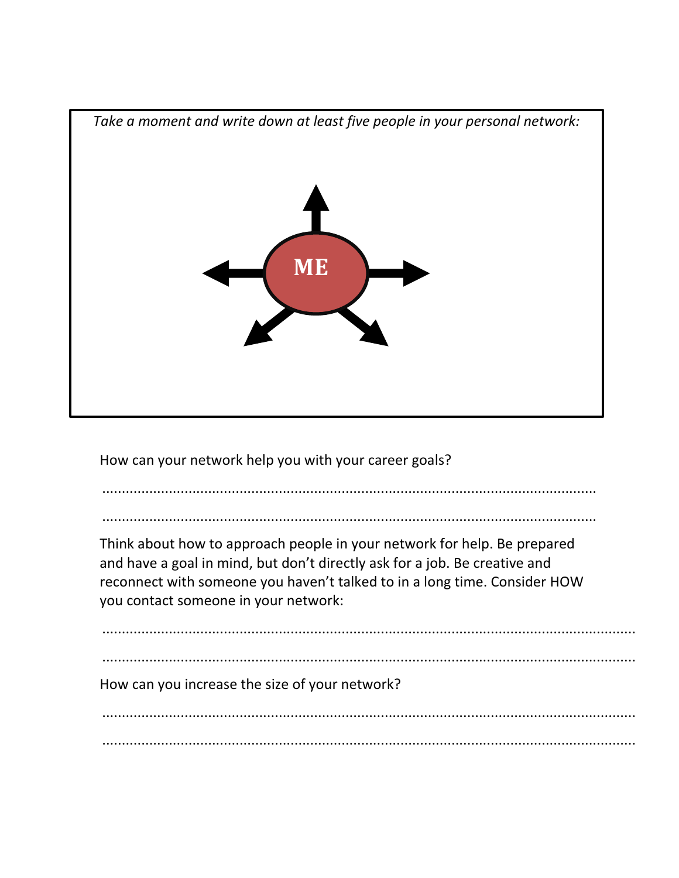

How can your network help you with your career goals?

..............................................................................................................................

..............................................................................................................................

Think about how to approach people in your network for help. Be prepared and have a goal in mind, but don't directly ask for a job. Be creative and reconnect with someone you haven't talked to in a long time. Consider HOW you contact someone in your network:

........................................................................................................................................

How can you increase the size of your network?

........................................................................................................................................ ........................................................................................................................................

........................................................................................................................................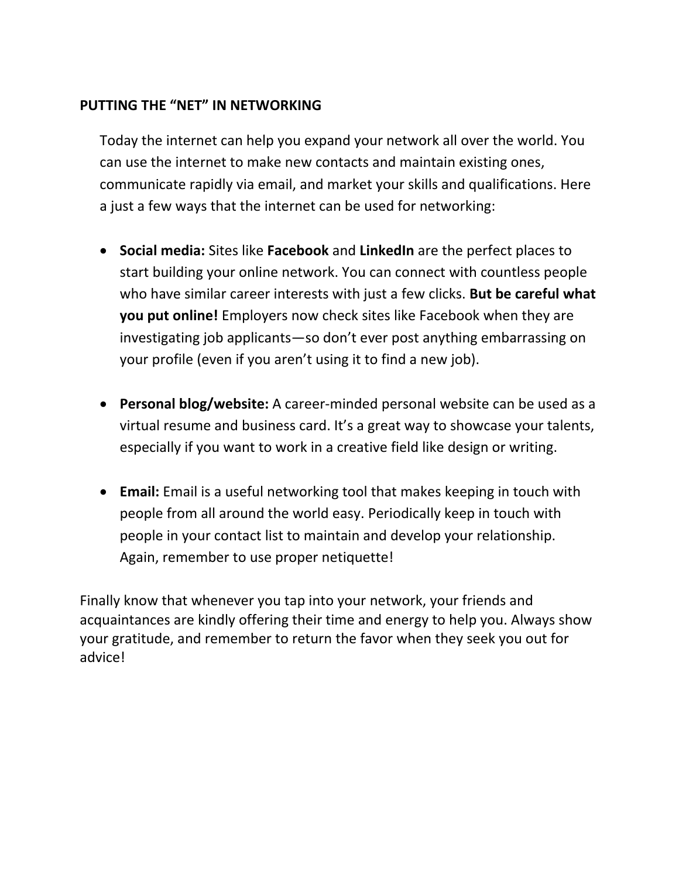## **PUTTING THE "NET" IN NETWORKING**

Today the internet can help you expand your network all over the world. You can use the internet to make new contacts and maintain existing ones, communicate rapidly via email, and market your skills and qualifications. Here a just a few ways that the internet can be used for networking:

- **Social media:** Sites like **Facebook** and **LinkedIn** are the perfect places to start building your online network. You can connect with countless people who have similar career interests with just a few clicks. **But be careful what you put online!** Employers now check sites like Facebook when they are investigating job applicants—so don't ever post anything embarrassing on your profile (even if you aren't using it to find a new job).
- **Personal blog/website:** A career-minded personal website can be used as a virtual resume and business card. It's a great way to showcase your talents, especially if you want to work in a creative field like design or writing.
- **Email:** Email is a useful networking tool that makes keeping in touch with people from all around the world easy. Periodically keep in touch with people in your contact list to maintain and develop your relationship. Again, remember to use proper netiquette!

Finally know that whenever you tap into your network, your friends and acquaintances are kindly offering their time and energy to help you. Always show your gratitude, and remember to return the favor when they seek you out for advice!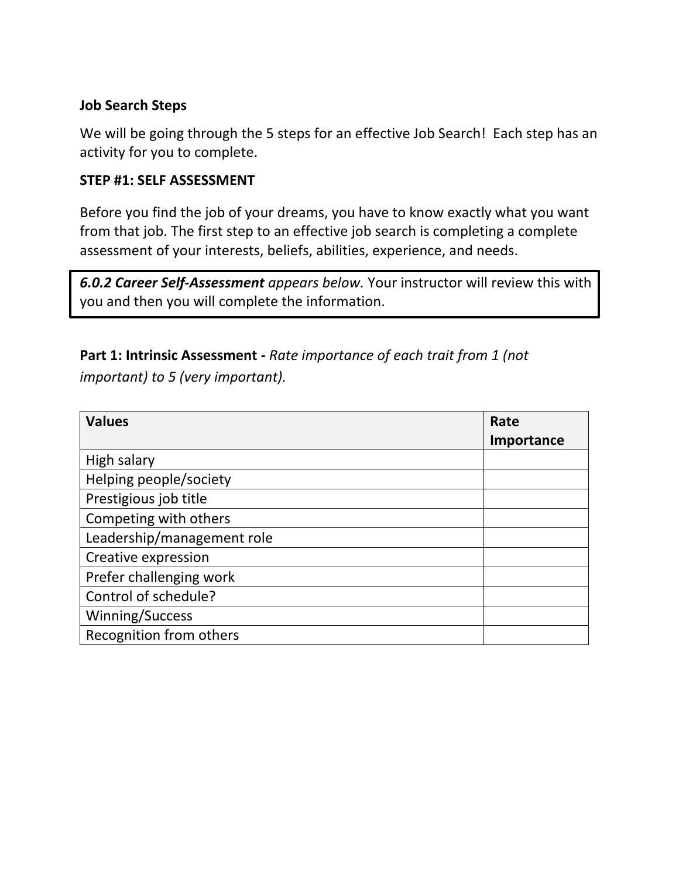### **Job Search Steps**

We will be going through the 5 steps for an effective Job Search! Each step has an activity for you to complete.

### **STEP #1: SELF ASSESSMENT**

Before you find the job of your dreams, you have to know exactly what you want from that job. The first step to an effective job search is completing a complete assessment of your interests, beliefs, abilities, experience, and needs.

*6.0.2 Career Self-Assessment appears below.* Your instructor will review this with you and then you will complete the information.

## **Part 1: Intrinsic Assessment -** *Rate importance of each trait from 1 (not important) to 5 (very important).*

| <b>Values</b>              | Rate       |
|----------------------------|------------|
|                            | Importance |
| High salary                |            |
| Helping people/society     |            |
| Prestigious job title      |            |
| Competing with others      |            |
| Leadership/management role |            |
| Creative expression        |            |
| Prefer challenging work    |            |
| Control of schedule?       |            |
| Winning/Success            |            |
| Recognition from others    |            |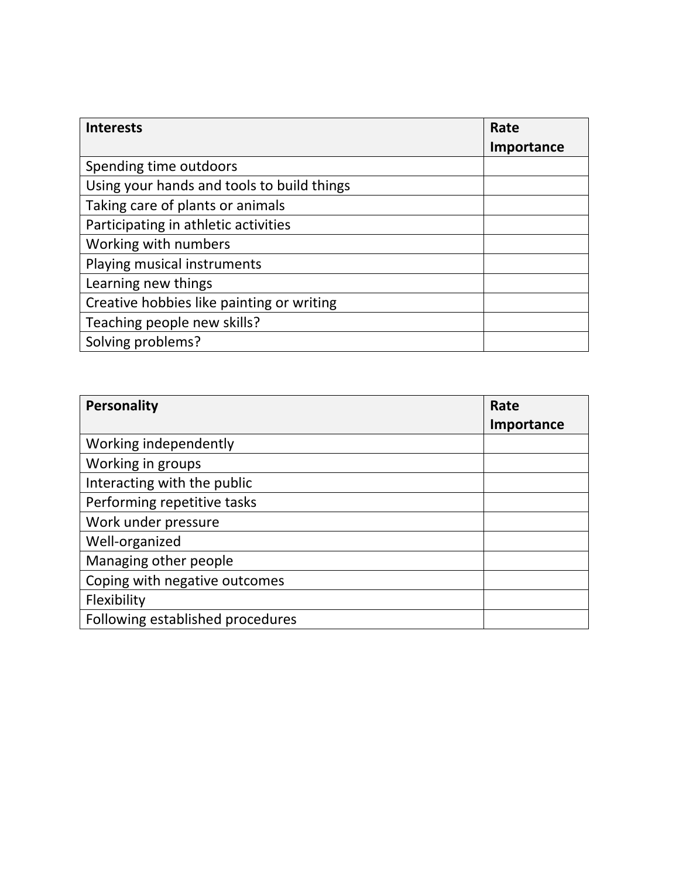| <b>Interests</b>                           | Rate       |
|--------------------------------------------|------------|
|                                            | Importance |
| Spending time outdoors                     |            |
| Using your hands and tools to build things |            |
| Taking care of plants or animals           |            |
| Participating in athletic activities       |            |
| Working with numbers                       |            |
| Playing musical instruments                |            |
| Learning new things                        |            |
| Creative hobbies like painting or writing  |            |
| Teaching people new skills?                |            |
| Solving problems?                          |            |

| Personality                      | Rate       |
|----------------------------------|------------|
|                                  | Importance |
| Working independently            |            |
| Working in groups                |            |
| Interacting with the public      |            |
| Performing repetitive tasks      |            |
| Work under pressure              |            |
| Well-organized                   |            |
| Managing other people            |            |
| Coping with negative outcomes    |            |
| Flexibility                      |            |
| Following established procedures |            |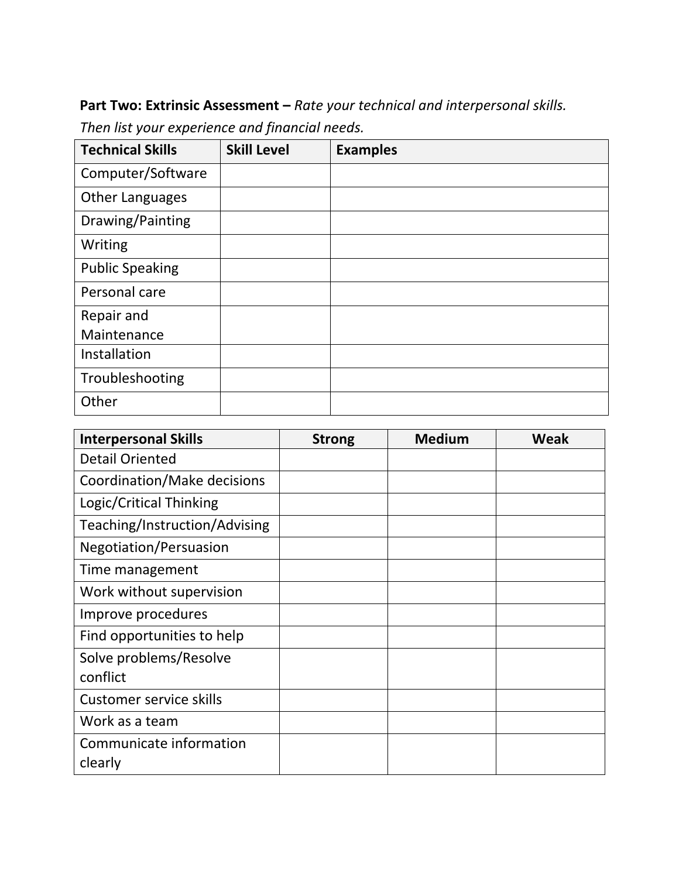**Part Two: Extrinsic Assessment –** *Rate your technical and interpersonal skills. Then list your experience and financial needs.* 

| <b>Technical Skills</b> | <b>Skill Level</b> | <b>Examples</b> |
|-------------------------|--------------------|-----------------|
| Computer/Software       |                    |                 |
| <b>Other Languages</b>  |                    |                 |
| Drawing/Painting        |                    |                 |
| Writing                 |                    |                 |
| <b>Public Speaking</b>  |                    |                 |
| Personal care           |                    |                 |
| Repair and              |                    |                 |
| Maintenance             |                    |                 |
| Installation            |                    |                 |
| Troubleshooting         |                    |                 |
| Other                   |                    |                 |

| <b>Interpersonal Skills</b>    | <b>Strong</b> | <b>Medium</b> | <b>Weak</b> |
|--------------------------------|---------------|---------------|-------------|
| <b>Detail Oriented</b>         |               |               |             |
| Coordination/Make decisions    |               |               |             |
| Logic/Critical Thinking        |               |               |             |
| Teaching/Instruction/Advising  |               |               |             |
| Negotiation/Persuasion         |               |               |             |
| Time management                |               |               |             |
| Work without supervision       |               |               |             |
| Improve procedures             |               |               |             |
| Find opportunities to help     |               |               |             |
| Solve problems/Resolve         |               |               |             |
| conflict                       |               |               |             |
| <b>Customer service skills</b> |               |               |             |
| Work as a team                 |               |               |             |
| Communicate information        |               |               |             |
| clearly                        |               |               |             |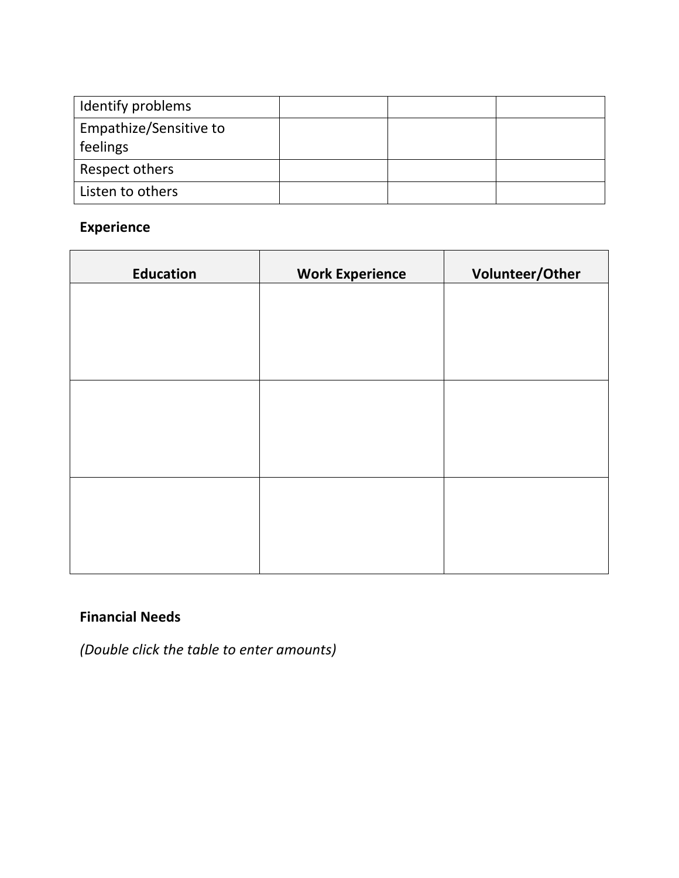| Identify problems      |  |  |
|------------------------|--|--|
| Empathize/Sensitive to |  |  |
| feelings               |  |  |
| Respect others         |  |  |
| Listen to others       |  |  |

# **Experience**

| <b>Education</b> | <b>Work Experience</b> | Volunteer/Other |  |  |
|------------------|------------------------|-----------------|--|--|
|                  |                        |                 |  |  |
|                  |                        |                 |  |  |
|                  |                        |                 |  |  |
|                  |                        |                 |  |  |
|                  |                        |                 |  |  |
|                  |                        |                 |  |  |
|                  |                        |                 |  |  |
|                  |                        |                 |  |  |
|                  |                        |                 |  |  |

## **Financial Needs**

*(Double click the table to enter amounts)*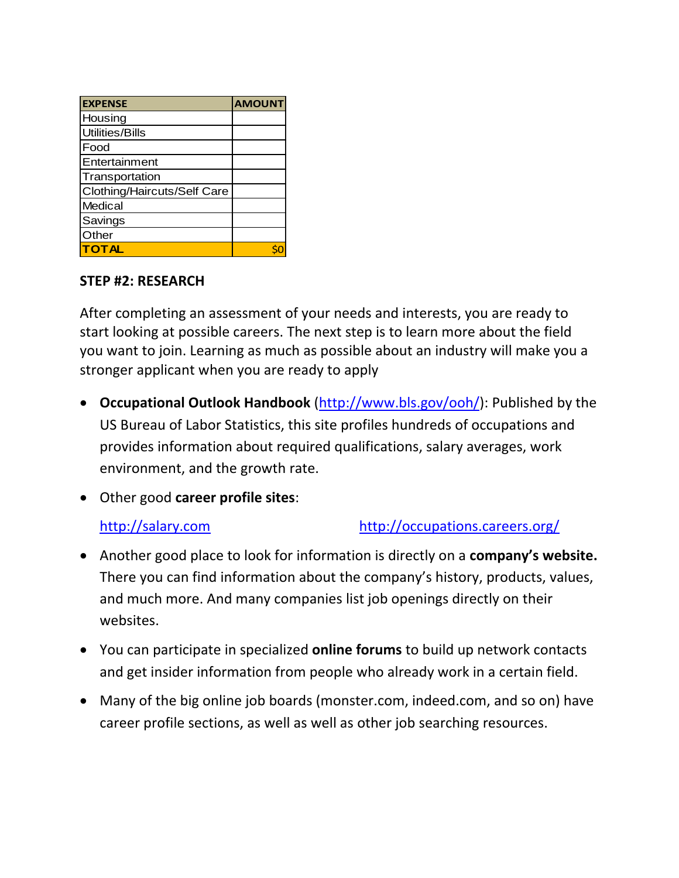| <b>EXPENSE</b>              | <b>AMOUNT</b> |
|-----------------------------|---------------|
| Housing                     |               |
| <b>Utilities/Bills</b>      |               |
| Food                        |               |
| Entertainment               |               |
| Transportation              |               |
| Clothing/Haircuts/Self Care |               |
| Medical                     |               |
| Savings                     |               |
| Other                       |               |
| <b>TOTAL</b>                |               |

### **STEP #2: RESEARCH**

After completing an assessment of your needs and interests, you are ready to start looking at possible careers. The next step is to learn more about the field you want to join. Learning as much as possible about an industry will make you a stronger applicant when you are ready to apply

- **Occupational Outlook Handbook** [\(http://www.bls.gov/ooh/\)](http://www.bls.gov/ooh/): Published by the US Bureau of Labor Statistics, this site profiles hundreds of occupations and provides information about required qualifications, salary averages, work environment, and the growth rate.
- Other good **career profile sites**:

## [http://salary.com](http://salary.com/) <http://occupations.careers.org/>

- Another good place to look for information is directly on a **company's website.** There you can find information about the company's history, products, values, and much more. And many companies list job openings directly on their websites.
- You can participate in specialized **online forums** to build up network contacts and get insider information from people who already work in a certain field.
- Many of the big online job boards (monster.com, indeed.com, and so on) have career profile sections, as well as well as other job searching resources.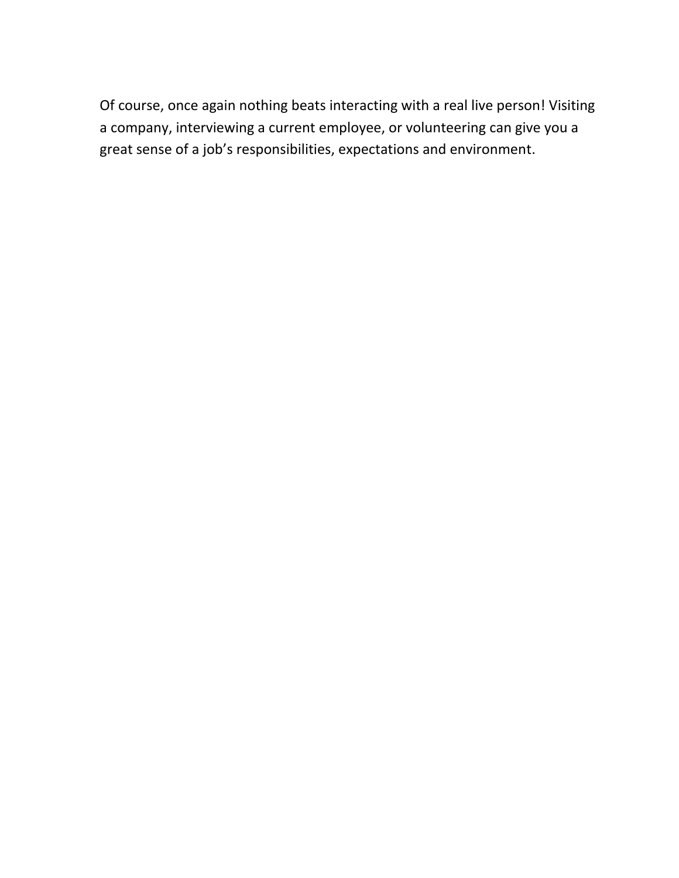Of course, once again nothing beats interacting with a real live person! Visiting a company, interviewing a current employee, or volunteering can give you a great sense of a job's responsibilities, expectations and environment.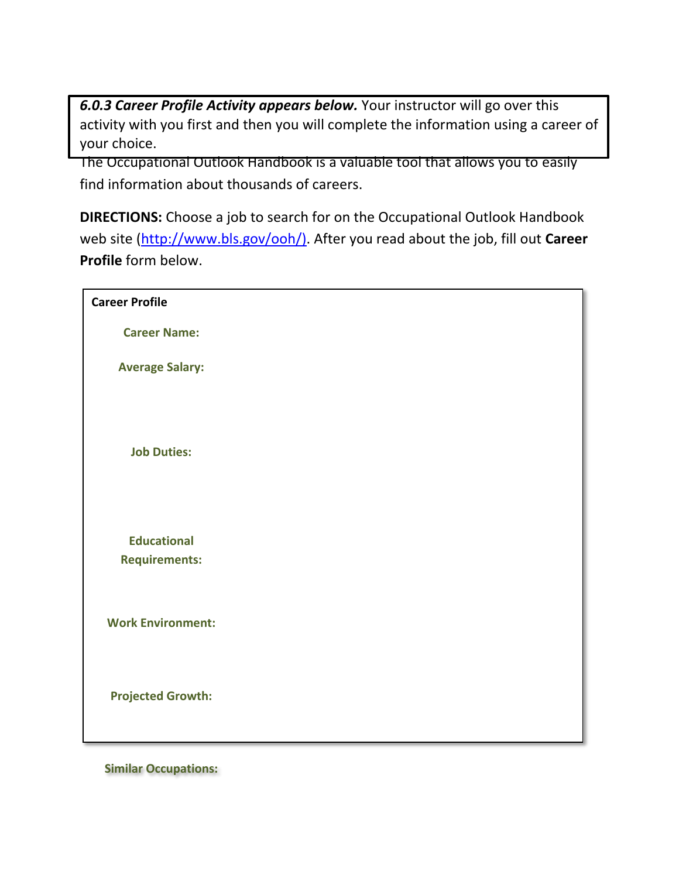*6.0.3 Career Profile Activity appears below.* Your instructor will go over this activity with you first and then you will complete the information using a career of your choice.

The Occupational Outlook Handbook is a valuable tool that allows you to easily find information about thousands of careers.

**DIRECTIONS:** Choose a job to search for on the Occupational Outlook Handbook web site [\(http://www.bls.gov/ooh/\).](http://www.bls.gov/ooh/)) After you read about the job, fill out **Career Profile** form below.

| <b>Career Profile</b>                      |  |
|--------------------------------------------|--|
| <b>Career Name:</b>                        |  |
| <b>Average Salary:</b>                     |  |
| <b>Job Duties:</b>                         |  |
| <b>Educational</b><br><b>Requirements:</b> |  |
| <b>Work Environment:</b>                   |  |
| <b>Projected Growth:</b>                   |  |

**Similar Occupations:**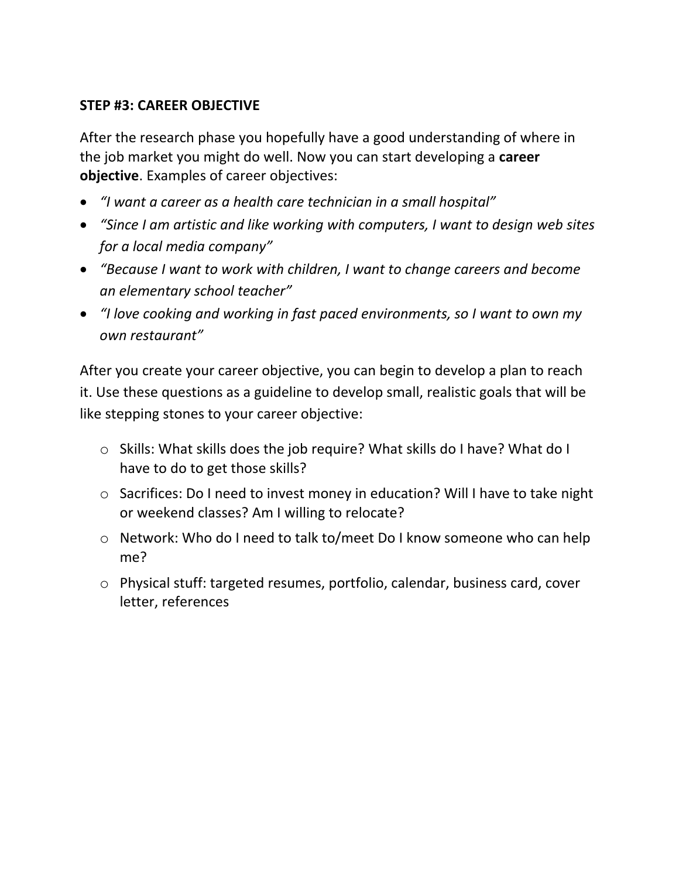### **STEP #3: CAREER OBJECTIVE**

After the research phase you hopefully have a good understanding of where in the job market you might do well. Now you can start developing a **career objective**. Examples of career objectives:

- *"I want a career as a health care technician in a small hospital"*
- *"Since I am artistic and like working with computers, I want to design web sites for a local media company"*
- *"Because I want to work with children, I want to change careers and become an elementary school teacher"*
- *"I love cooking and working in fast paced environments, so I want to own my own restaurant"*

After you create your career objective, you can begin to develop a plan to reach it. Use these questions as a guideline to develop small, realistic goals that will be like stepping stones to your career objective:

- o Skills: What skills does the job require? What skills do I have? What do I have to do to get those skills?
- o Sacrifices: Do I need to invest money in education? Will I have to take night or weekend classes? Am I willing to relocate?
- o Network: Who do I need to talk to/meet Do I know someone who can help me?
- o Physical stuff: targeted resumes, portfolio, calendar, business card, cover letter, references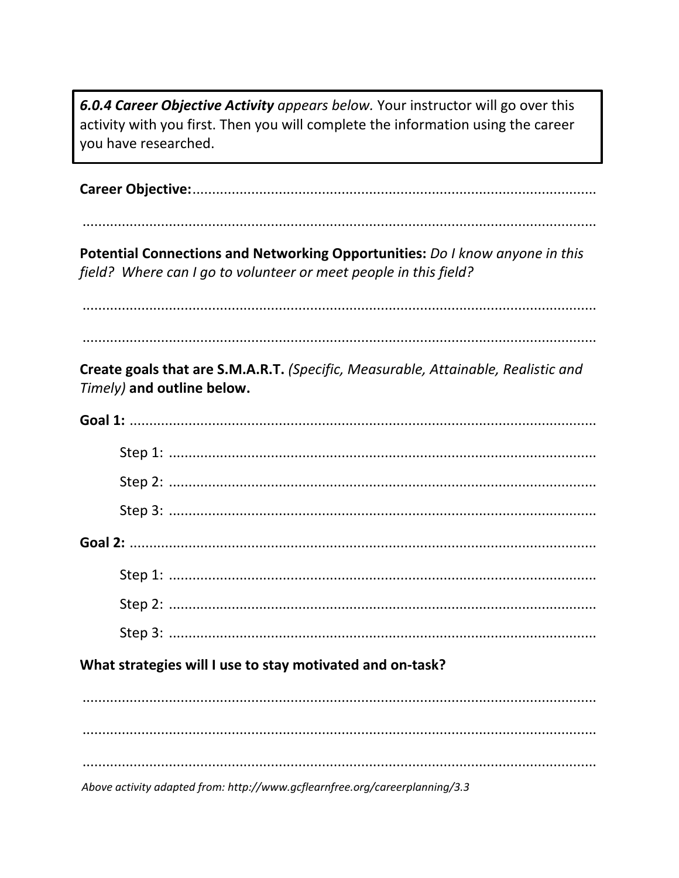6.0.4 Career Objective Activity appears below. Your instructor will go over this activity with you first. Then you will complete the information using the career you have researched.

Potential Connections and Networking Opportunities: Do I know anyone in this field? Where can I go to volunteer or meet people in this field?

Create goals that are S.M.A.R.T. (Specific, Measurable, Attainable, Realistic and Timely) and outline below.

| What strategies will I use to stay motivated and on-task? |  |  |
|-----------------------------------------------------------|--|--|
|                                                           |  |  |
|                                                           |  |  |

Above activity adapted from: http://www.gcflearnfree.org/careerplanning/3.3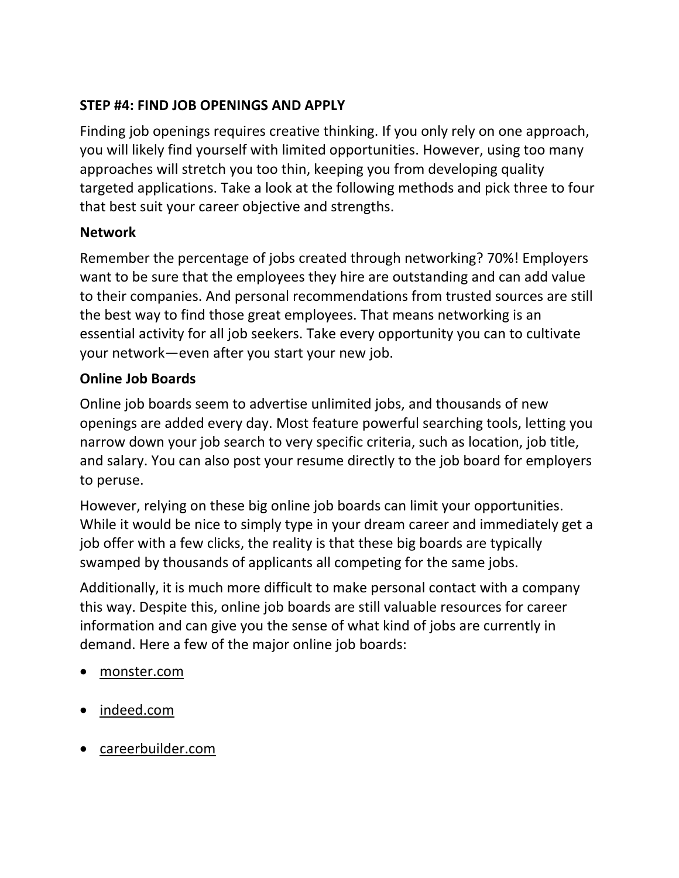## **STEP #4: FIND JOB OPENINGS AND APPLY**

Finding job openings requires creative thinking. If you only rely on one approach, you will likely find yourself with limited opportunities. However, using too many approaches will stretch you too thin, keeping you from developing quality targeted applications. Take a look at the following methods and pick three to four that best suit your career objective and strengths.

## **Network**

Remember the percentage of jobs created through networking? 70%! Employers want to be sure that the employees they hire are outstanding and can add value to their companies. And personal recommendations from trusted sources are still the best way to find those great employees. That means networking is an essential activity for all job seekers. Take every opportunity you can to cultivate your network—even after you start your new job.

## **Online Job Boards**

Online job boards seem to advertise unlimited jobs, and thousands of new openings are added every day. Most feature powerful searching tools, letting you narrow down your job search to very specific criteria, such as location, job title, and salary. You can also post your resume directly to the job board for employers to peruse.

However, relying on these big online job boards can limit your opportunities. While it would be nice to simply type in your dream career and immediately get a job offer with a few clicks, the reality is that these big boards are typically swamped by thousands of applicants all competing for the same jobs.

Additionally, it is much more difficult to make personal contact with a company this way. Despite this, online job boards are still valuable resources for career information and can give you the sense of what kind of jobs are currently in demand. Here a few of the major online job boards:

- monster.com
- indeed.com
- careerbuilder.com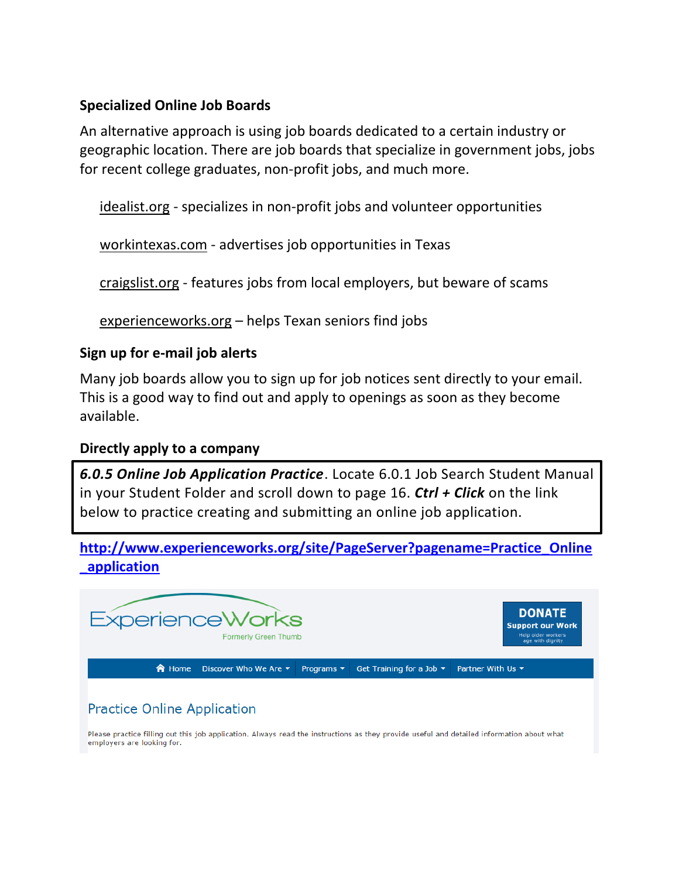### **Specialized Online Job Boards**

An alternative approach is using job boards dedicated to a certain industry or geographic location. There are job boards that specialize in government jobs, jobs for recent college graduates, non-profit jobs, and much more.

idealist.org - specializes in non-profit jobs and volunteer opportunities

workintexas.com - advertises job opportunities in Texas

craigslist.org - features jobs from local employers, but beware of scams

experienceworks.org – helps Texan seniors find jobs

### **Sign up for e-mail job alerts**

Many job boards allow you to sign up for job notices sent directly to your email. This is a good way to find out and apply to openings as soon as they become available.

### **Directly apply to a company**

*6.0.5 Online Job Application Practice*. Locate 6.0.1 Job Search Student Manual in your Student Folder and scroll down to page 16. *Ctrl + Click* on the link below to practice creating and submitting an online job application.

**[http://www.experienceworks.org/site/PageServer?pagename=Practice\\_Online](http://www.experienceworks.org/site/PageServer?pagename=Practice_Online_application) [\\_application](http://www.experienceworks.org/site/PageServer?pagename=Practice_Online_application)**